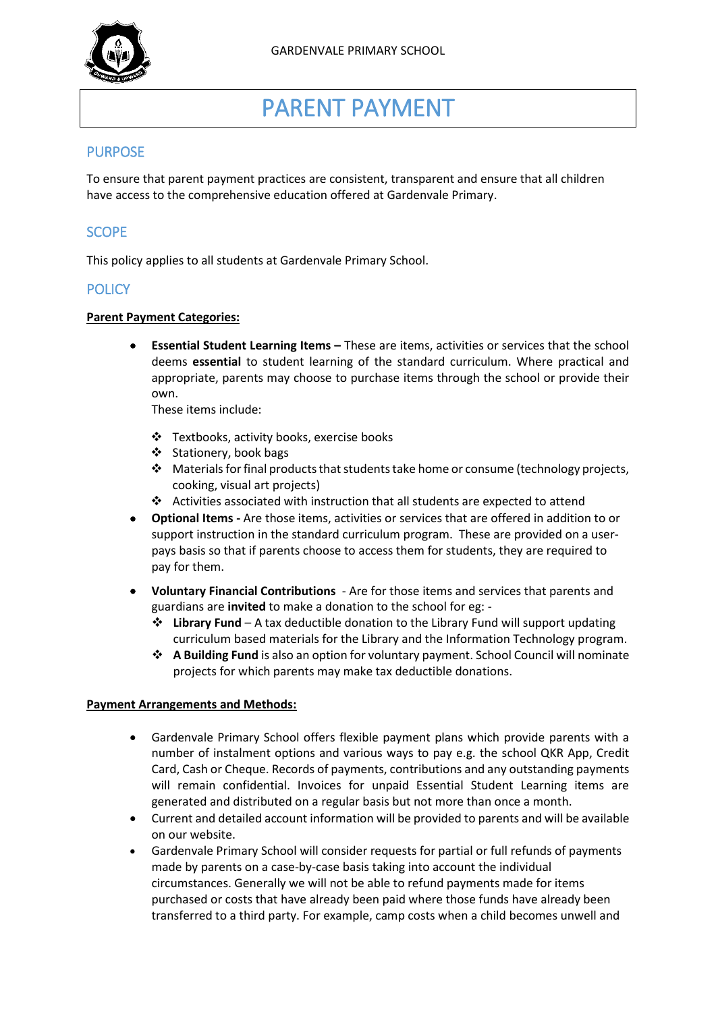

# PARENT PAYMENT

# PURPOSE

To ensure that parent payment practices are consistent, transparent and ensure that all children have access to the comprehensive education offered at Gardenvale Primary.

# **SCOPE**

This policy applies to all students at Gardenvale Primary School.

# **POLICY**

#### **Parent Payment Categories:**

 **Essential Student Learning Items –** These are items, activities or services that the school deems **essential** to student learning of the standard curriculum. Where practical and appropriate, parents may choose to purchase items through the school or provide their own.

These items include:

- Textbooks, activity books, exercise books
- ❖ Stationery, book bags
- $\cdot \cdot$  Materials for final products that students take home or consume (technology projects, cooking, visual art projects)
- Activities associated with instruction that all students are expected to attend
- **Optional Items -** Are those items, activities or services that are offered in addition to or support instruction in the standard curriculum program. These are provided on a userpays basis so that if parents choose to access them for students, they are required to pay for them.
- **Voluntary Financial Contributions** Are for those items and services that parents and guardians are **invited** to make a donation to the school for eg: -
	- **Library Fund** A tax deductible donation to the Library Fund will support updating curriculum based materials for the Library and the Information Technology program.
	- **A Building Fund** is also an option for voluntary payment. School Council will nominate projects for which parents may make tax deductible donations.

#### **Payment Arrangements and Methods:**

- Gardenvale Primary School offers flexible payment plans which provide parents with a number of instalment options and various ways to pay e.g. the school QKR App, Credit Card, Cash or Cheque. Records of payments, contributions and any outstanding payments will remain confidential. Invoices for unpaid Essential Student Learning items are generated and distributed on a regular basis but not more than once a month.
- Current and detailed account information will be provided to parents and will be available on our website.
- Gardenvale Primary School will consider requests for partial or full refunds of payments made by parents on a case-by-case basis taking into account the individual circumstances. Generally we will not be able to refund payments made for items purchased or costs that have already been paid where those funds have already been transferred to a third party. For example, camp costs when a child becomes unwell and